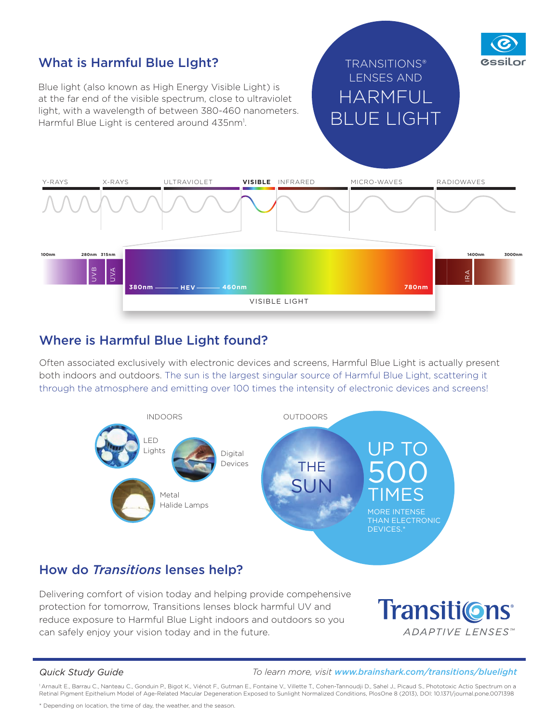

### Where is Harmful Blue Light found?

Often associated exclusively with electronic devices and screens, Harmful Blue Light is actually present both indoors and outdoors. The sun is the largest singular source of Harmful Blue Light, scattering it through the atmosphere and emitting over 100 times the intensity of electronic devices and screens!



## How do *Transitions* lenses help?

Delivering comfort of vision today and helping provide compehensive protection for tomorrow, Transitions lenses block harmful UV and reduce exposure to Harmful Blue Light indoors and outdoors so you can safely enjoy your vision today and in the future.

Transiti©ns<sup>®</sup> **ADAPTIVE LENSES**™

*Quick Study Guide To learn more, visit www.brainshark.com/transitions/bluelight*

1 Arnault E., Barrau C., Nanteau C., Gonduin P., Bigot K., Viénot F., Gutman E., Fontaine V., Villette T., Cohen-Tannoudji D., Sahel J., Picaud S., Phototoxic Actio Spectrum on a Retinal Pigment Epithelium Model of Age-Related Macular Degeneration Exposed to Sunlight Normalized Conditions, PlosOne 8 (2013), DOI: 10.1371/journal.pone.0071398